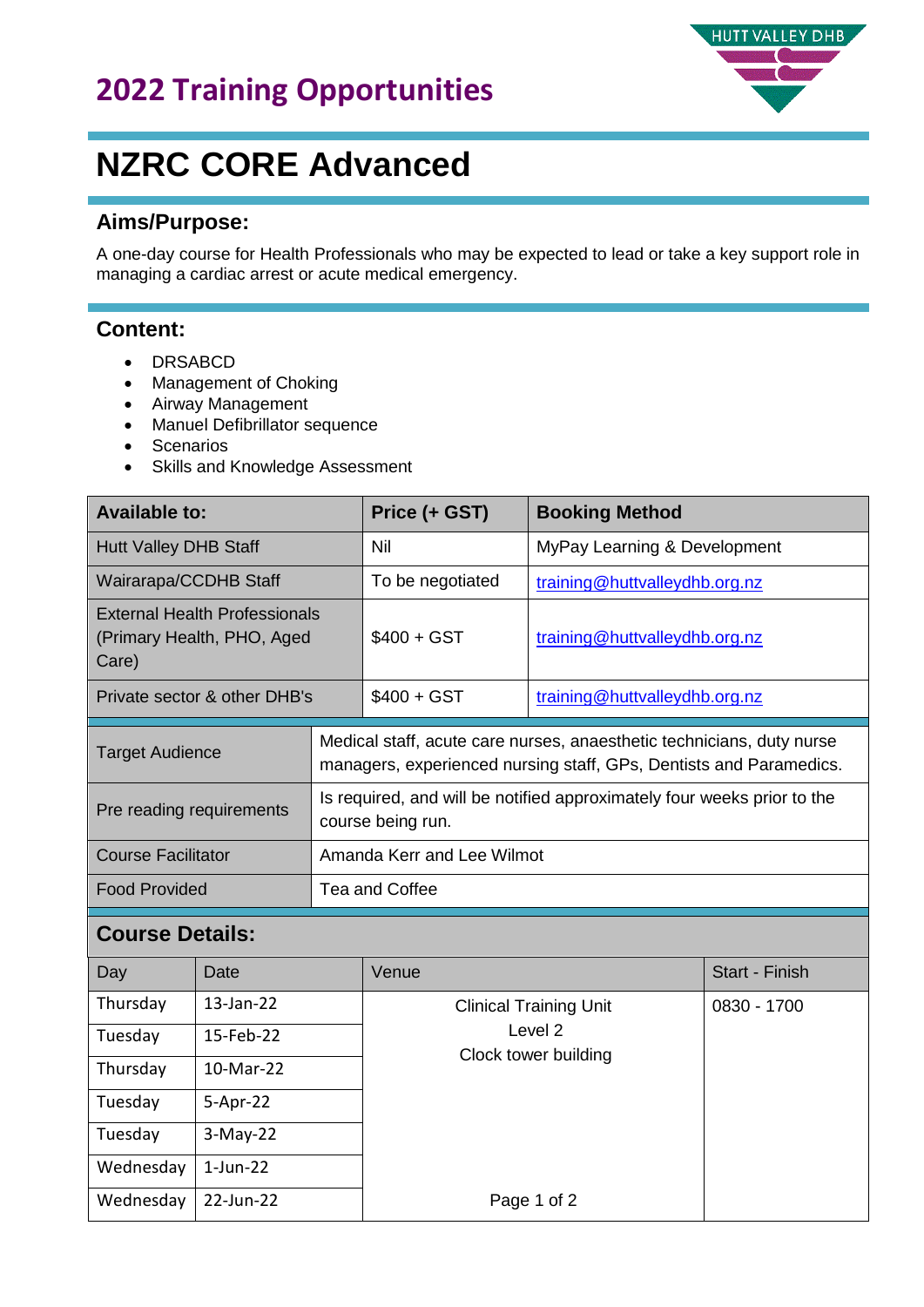### **2022 Training Opportunities**



## **NZRC CORE Advanced**

#### **Aims/Purpose:**

A one-day course for Health Professionals who may be expected to lead or take a key support role in managing a cardiac arrest or acute medical emergency.

#### **Content:**

- DRSABCD
- Management of Choking
- Airway Management
- Manuel Defibrillator sequence
- Scenarios
- Skills and Knowledge Assessment

| <b>Available to:</b>                                                        |                        | Price (+ GST)              | <b>Booking Method</b>                                                                                                                       |                               |                       |  |
|-----------------------------------------------------------------------------|------------------------|----------------------------|---------------------------------------------------------------------------------------------------------------------------------------------|-------------------------------|-----------------------|--|
| <b>Hutt Valley DHB Staff</b>                                                |                        | Nil                        | MyPay Learning & Development                                                                                                                |                               |                       |  |
| Wairarapa/CCDHB Staff                                                       |                        | To be negotiated           | training@huttvalleydhb.org.nz                                                                                                               |                               |                       |  |
| <b>External Health Professionals</b><br>(Primary Health, PHO, Aged<br>Care) |                        |                            | $$400 + GST$                                                                                                                                | training@huttvalleydhb.org.nz |                       |  |
| Private sector & other DHB's                                                |                        |                            | $$400 + GST$                                                                                                                                | training@huttvalleydhb.org.nz |                       |  |
| <b>Target Audience</b>                                                      |                        |                            | Medical staff, acute care nurses, anaesthetic technicians, duty nurse<br>managers, experienced nursing staff, GPs, Dentists and Paramedics. |                               |                       |  |
| Pre reading requirements                                                    |                        |                            | Is required, and will be notified approximately four weeks prior to the<br>course being run.                                                |                               |                       |  |
| <b>Course Facilitator</b>                                                   |                        | Amanda Kerr and Lee Wilmot |                                                                                                                                             |                               |                       |  |
| <b>Food Provided</b>                                                        |                        | Tea and Coffee             |                                                                                                                                             |                               |                       |  |
| <b>Course Details:</b>                                                      |                        |                            |                                                                                                                                             |                               |                       |  |
| Day                                                                         | Date                   |                            | Venue                                                                                                                                       |                               | <b>Start - Finish</b> |  |
| Thursday                                                                    | 13-Jan-22              |                            | <b>Clinical Training Unit</b><br>Level <sub>2</sub><br>Clock tower building                                                                 |                               | 0830 - 1700           |  |
| Tuesday                                                                     | 15-Feb-22<br>10-Mar-22 |                            |                                                                                                                                             |                               |                       |  |
| Thursday                                                                    |                        |                            |                                                                                                                                             |                               |                       |  |
| Tuesday                                                                     | 5-Apr-22               |                            |                                                                                                                                             |                               |                       |  |
| Tuesday                                                                     | $3-May-22$             |                            |                                                                                                                                             |                               |                       |  |
| Wednesday                                                                   | $1$ -Jun-22            |                            |                                                                                                                                             |                               |                       |  |
| Wednesday                                                                   | 22-Jun-22              |                            |                                                                                                                                             | Page 1 of 2                   |                       |  |